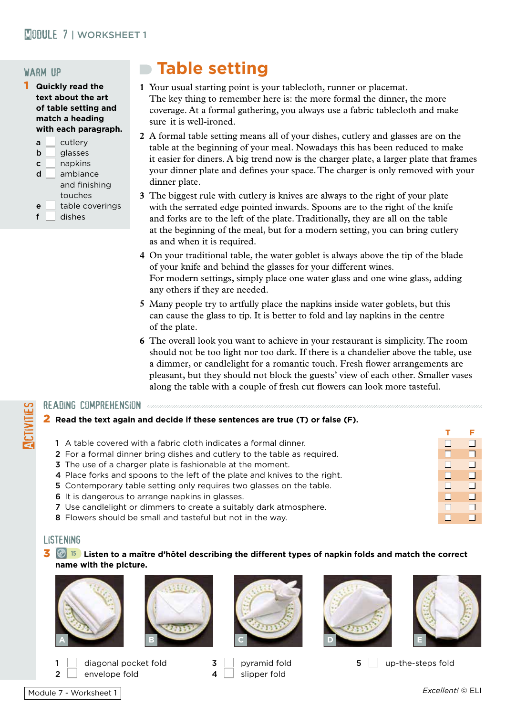## warm up

- 1 **Quickly read the text about the art of table setting and match a heading with each paragraph.** 
	- $a \mid$  cutlery  $\mathsf{b}$  | alasses  $c \mid$  napkins  $\mathsf{d}$  ambiance and finishing touches  $e$  table coverings
	- $f \mid$  dishes

# **Table setting**

- **1** Your usual starting point is your tablecloth, runner or placemat. The key thing to remember here is: the more formal the dinner, the more coverage. At a formal gathering, you always use a fabric tablecloth and make sure it is well-ironed.
- **2** A formal table setting means all of your dishes, cutlery and glasses are on the table at the beginning of your meal. Nowadays this has been reduced to make it easier for diners. A big trend now is the charger plate, a larger plate that frames your dinner plate and defines your space. The charger is only removed with your dinner plate.
- **3** The biggest rule with cutlery is knives are always to the right of your plate with the serrated edge pointed inwards. Spoons are to the right of the knife and forks are to the left of the plate. Traditionally, they are all on the table at the beginning of the meal, but for a modern setting, you can bring cutlery as and when it is required.
- **4** On your traditional table, the water goblet is always above the tip of the blade of your knife and behind the glasses for your different wines. For modern settings, simply place one water glass and one wine glass, adding any others if they are needed.
- **5** Many people try to artfully place the napkins inside water goblets, but this can cause the glass to tip. It is better to fold and lay napkins in the centre of the plate.
- **6** The overall look you want to achieve in your restaurant is simplicity. The room should not be too light nor too dark. If there is a chandelier above the table, use a dimmer, or candlelight for a romantic touch. Fresh flower arrangements are pleasant, but they should not block the guests' view of each other. Smaller vases along the table with a couple of fresh cut flowers can look more tasteful.

## READING COMPREHENSION<br>2 Read the text again a<br>1 A table covered with 2 **Read the text again and decide if these sentences are true (T) or false (F).**

- **T F**
	- 1 A table covered with a fabric cloth indicates a formal dinner.  $\Box$   $\Box$ 2 For a formal dinner bring dishes and cutlery to the table as required.  $\Box$
	- **3** The use of a charger plate is fashionable at the moment.  $\Box$
	- 4 Place forks and spoons to the left of the plate and knives to the right.  $\Box$
	- 5 Contemporary table setting only requires two glasses on the table.  $\Box$   $\Box$
	- 6 It is dangerous to arrange napkins in glasses.  $\Box$
	- **7** Use candlelight or dimmers to create a suitably dark atmosphere.  $\Box$
	- **8** Flowers should be small and tasteful but not in the way.  $\Box$  n n n n  $\Box$  n  $\Box$

## listening

### 3 **<sup>15</sup> Listen to a maître d'hôtel describing the different types of napkin folds and match the correct name with the picture.**





2 envelope fold  $\begin{array}{ccc} 2 & 4 & 1 \end{array}$  slipper fold









diagonal pocket fold  $\begin{array}{ccc} 3 & | & \text{pyramid fold} \end{array}$  by small steps fold  $\begin{array}{ccc} 5 & | & \text{up-the-steps fold} \end{array}$